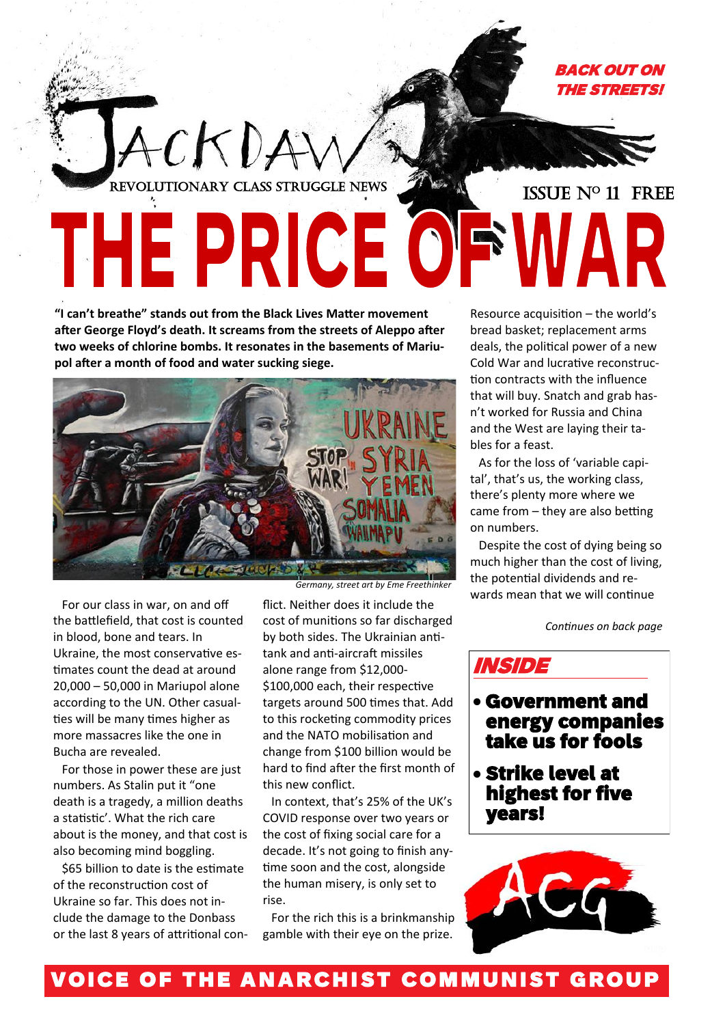

## **"I can't breathe" stands out from the Black Lives Matter movement after George Floyd's death. It screams from the streets of Aleppo after two weeks of chlorine bombs. It resonates in the basements of Mariu-**



**pol after a month of food and water sucking siege.** 

For our class in war, on and off the battlefield, that cost is counted in blood, bone and tears. In Ukraine, the most conservative estimates count the dead at around 20,000 – 50,000 in Mariupol alone according to the UN. Other casualties will be many times higher as more massacres like the one in Bucha are revealed.

For those in power these are just numbers. As Stalin put it "one death is a tragedy, a million deaths a statistic'. What the rich care about is the money, and that cost is also becoming mind boggling.

\$65 billion to date is the estimate of the reconstruction cost of Ukraine so far. This does not include the damage to the Donbass or the last 8 years of attritional con-

*Germany, street art by Eme Freethinker*

flict. Neither does it include the cost of munitions so far discharged by both sides. The Ukrainian antitank and anti-aircraft missiles alone range from \$12,000- \$100,000 each, their respective targets around 500 times that. Add to this rocketing commodity prices and the NATO mobilisation and change from \$100 billion would be hard to find after the first month of this new conflict.

In context, that's 25% of the UK's COVID response over two years or the cost of fixing social care for a decade. It's not going to finish anytime soon and the cost, alongside the human misery, is only set to rise.

For the rich this is a brinkmanship gamble with their eye on the prize.

Resource acquisition – the world's bread basket; replacement arms deals, the political power of a new Cold War and lucrative reconstruction contracts with the influence that will buy. Snatch and grab hasn't worked for Russia and China and the West are laying their tables for a feast.

As for the loss of 'variable capital', that's us, the working class, there's plenty more where we came from – they are also betting on numbers.

Despite the cost of dying being so much higher than the cost of living, the potential dividends and rewards mean that we will continue

*Continues on back page*

INSIDE

- Government and energy companies take us for fools
- Strike level at highest for five years!

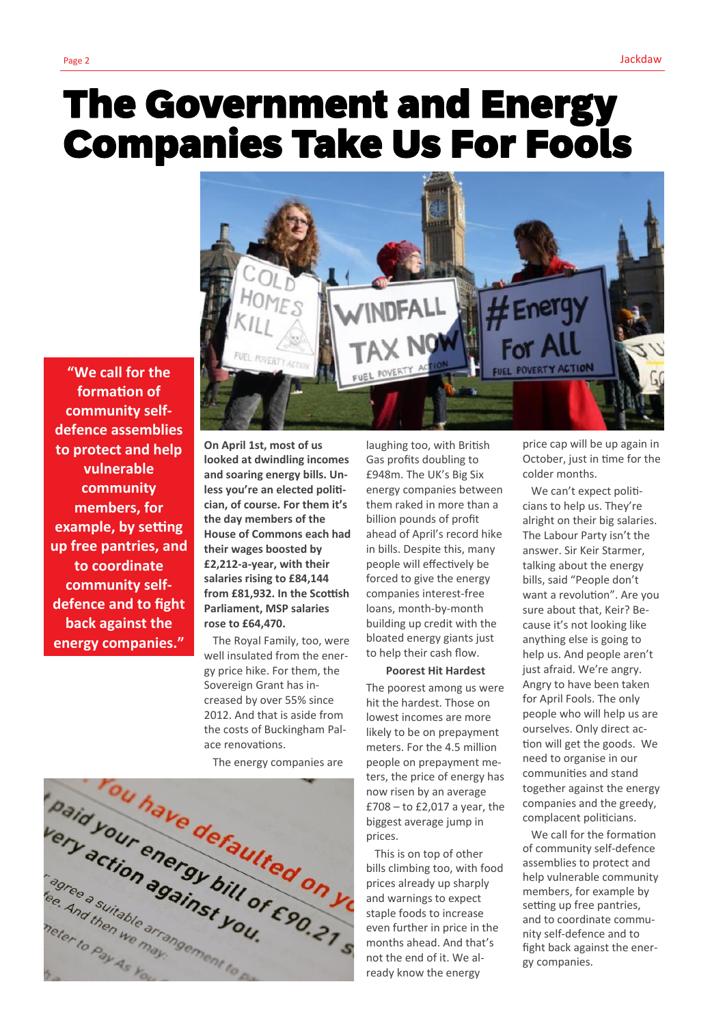# The Government and Energy Companies Take Us For Fools

**"We call for the formation of community selfdefence assemblies to protect and help vulnerable community members, for example, by setting up free pantries, and to coordinate community selfdefence and to fight back against the energy companies."**

**On April 1st, most of us looked at dwindling incomes and soaring energy bills. Unless you're an elected politician, of course. For them it's the day members of the House of Commons each had their wages boosted by £2,212-a-year, with their salaries rising to £84,144 from £81,932. In the Scottish Parliament, MSP salaries rose to £64,470.**

The Royal Family, too, were well insulated from the energy price hike. For them, the Sovereign Grant has increased by over 55% since 2012. And that is aside from the costs of Buckingham Palace renovations.

The energy companies are



laughing too, with British Gas profits doubling to £948m. The UK's Big Six energy companies between them raked in more than a billion pounds of profit ahead of April's record hike in bills. Despite this, many people will effectively be forced to give the energy companies interest-free loans, month-by-month building up credit with the bloated energy giants just to help their cash flow.

#### **Poorest Hit Hardest**

The poorest among us were hit the hardest. Those on lowest incomes are more likely to be on prepayment meters. For the 4.5 million people on prepayment meters, the price of energy has now risen by an average £708 – to £2,017 a year, the biggest average jump in prices.

This is on top of other bills climbing too, with food prices already up sharply and warnings to expect staple foods to increase even further in price in the months ahead. And that's not the end of it. We already know the energy

price cap will be up again in October, just in time for the colder months.

 $#$ Energ

For  $A$ 

**VERTY ACTION** 

We can't expect politicians to help us. They're alright on their big salaries. The Labour Party isn't the answer. Sir Keir Starmer, talking about the energy bills, said "People don't want a revolution". Are you sure about that, Keir? Because it's not looking like anything else is going to help us. And people aren't just afraid. We're angry. Angry to have been taken for April Fools. The only people who will help us are ourselves. Only direct action will get the goods. We need to organise in our communities and stand together against the energy companies and the greedy, complacent politicians.

We call for the formation of community self-defence assemblies to protect and help vulnerable community members, for example by setting up free pantries, and to coordinate community self-defence and to fight back against the energy companies.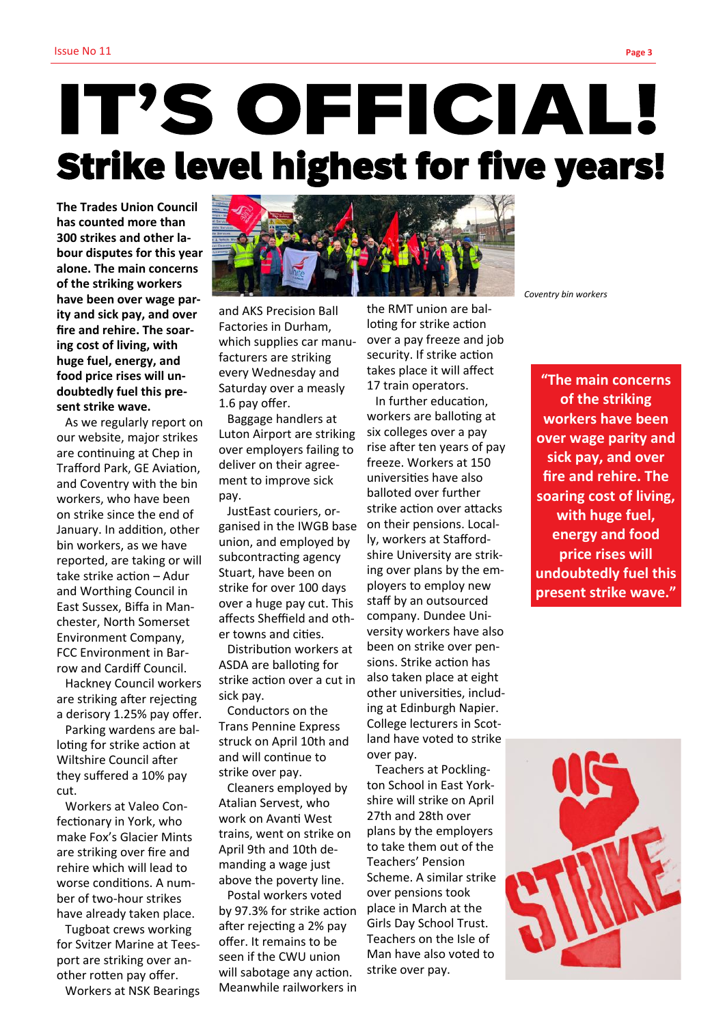# IT'S OFFICIAL! Strike level highest for five years!

**The Trades Union Council has counted more than 300 strikes and other labour disputes for this year alone. The main concerns of the striking workers have been over wage parity and sick pay, and over fire and rehire. The soaring cost of living, with huge fuel, energy, and food price rises will undoubtedly fuel this present strike wave.**

As we regularly report on our website, major strikes are continuing at Chep in Trafford Park, GE Aviation, and Coventry with the bin workers, who have been on strike since the end of January. In addition, other bin workers, as we have reported, are taking or will take strike action – Adur and Worthing Council in East Sussex, Biffa in Manchester, North Somerset Environment Company, FCC Environment in Barrow and Cardiff Council.

Hackney Council workers are striking after rejecting a derisory 1.25% pay offer.

Parking wardens are balloting for strike action at Wiltshire Council after they suffered a 10% pay cut.

Workers at Valeo Confectionary in York, who make Fox's Glacier Mints are striking over fire and rehire which will lead to worse conditions. A number of two-hour strikes have already taken place.

Tugboat crews working for Svitzer Marine at Teesport are striking over another rotten pay offer.

Workers at NSK Bearings



and AKS Precision Ball Factories in Durham, which supplies car manufacturers are striking every Wednesday and Saturday over a measly 1.6 pay offer.

Baggage handlers at Luton Airport are striking over employers failing to deliver on their agreement to improve sick pay.

JustEast couriers, organised in the IWGB base union, and employed by subcontracting agency Stuart, have been on strike for over 100 days over a huge pay cut. This affects Sheffield and other towns and cities.

Distribution workers at ASDA are balloting for strike action over a cut in sick pay.

Conductors on the Trans Pennine Express struck on April 10th and and will continue to strike over pay.

Cleaners employed by Atalian Servest, who work on Avanti West trains, went on strike on April 9th and 10th demanding a wage just above the poverty line.

Postal workers voted by 97.3% for strike action after rejecting a 2% pay offer. It remains to be seen if the CWU union will sabotage any action. Meanwhile railworkers in

the RMT union are balloting for strike action over a pay freeze and job security. If strike action takes place it will affect 17 train operators.

In further education, workers are balloting at six colleges over a pay rise after ten years of pay freeze. Workers at 150 universities have also balloted over further strike action over attacks on their pensions. Locally, workers at Staffordshire University are striking over plans by the employers to employ new staff by an outsourced company. Dundee University workers have also been on strike over pensions. Strike action has also taken place at eight other universities, including at Edinburgh Napier. College lecturers in Scotland have voted to strike over pay.

Teachers at Pocklington School in East Yorkshire will strike on April 27th and 28th over plans by the employers to take them out of the Teachers' Pension Scheme. A similar strike over pensions took place in March at the Girls Day School Trust. Teachers on the Isle of Man have also voted to strike over pay.

*Coventry bin workers*

**"The main concerns of the striking workers have been over wage parity and sick pay, and over fire and rehire. The soaring cost of living, with huge fuel, energy and food price rises will undoubtedly fuel this present strike wave."**